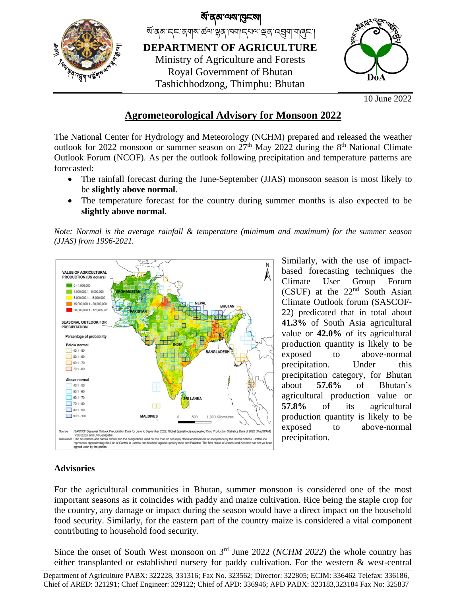

10 June 2022

## **Agrometeorological Advisory for Monsoon 2022**

The National Center for Hydrology and Meteorology (NCHM) prepared and released the weather outlook for 2022 monsoon or summer season on  $27<sup>th</sup>$  May 2022 during the  $8<sup>th</sup>$  National Climate Outlook Forum (NCOF). As per the outlook following precipitation and temperature patterns are forecasted:

- The rainfall forecast during the June-September (JJAS) monsoon season is most likely to be **slightly above normal**.
- The temperature forecast for the country during summer months is also expected to be **slightly above normal**.

*Note: Normal is the average rainfall & temperature (minimum and maximum) for the summer season (JJAS) from 1996-2021.*



Similarly, with the use of impactbased forecasting techniques the Climate User Group Forum  $(CSUF)$  at the  $22<sup>nd</sup>$  South Asian Climate Outlook forum (SASCOF-22) predicated that in total about **41.3%** of South Asia agricultural value or **42.0%** of its agricultural production quantity is likely to be exposed to above-normal precipitation. Under this precipitation category, for Bhutan about **57.6%** of Bhutan's agricultural production value or **57.8%** of its agricultural production quantity is likely to be exposed to above-normal precipitation.

## **Advisories**

For the agricultural communities in Bhutan, summer monsoon is considered one of the most important seasons as it coincides with paddy and maize cultivation. Rice being the staple crop for the country, any damage or impact during the season would have a direct impact on the household food security. Similarly, for the eastern part of the country maize is considered a vital component contributing to household food security.

Since the onset of South West monsoon on 3<sup>rd</sup> June 2022 (*NCHM 2022*) the whole country has either transplanted or established nursery for paddy cultivation. For the western & west-central

Department of Agriculture PABX: 322228, 331316; Fax No. 323562; Director: 322805; ECIM: 336462 Telefax: 336186, Chief of ARED: 321291; Chief Engineer: 329122; Chief of APD: 336946; APD PABX: 323183,323184 Fax No: 325837